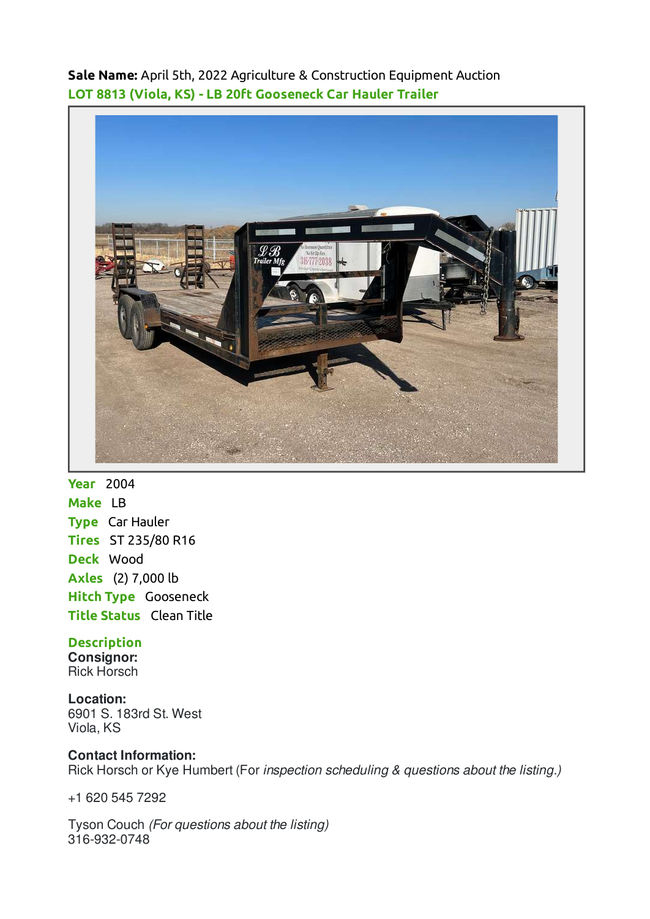**Sale Name:** April 5th, 2022 Agriculture & Construction Equipment Auction **LOT 8813 (Viola, KS) - LB 20ft Gooseneck Car Hauler Trailer**



**Year** 2004 **Make** LB **Type** Car Hauler **Tires** ST 235/80 R16 **Deck** Wood **Axles** (2) 7,000 lb **Hitch Type** Gooseneck **Title Status Clean Title** 

## **Description**

**Consignor:** Rick Horsch

**Location:** 6901 S. 183rd St. West Viola, KS

# **Contact Information:**

Rick Horsch or Kye Humbert (For inspection scheduling & questions about the listing.)

+1 620 545 7292

Tyson Couch (For questions about the listing) 316-932-0748